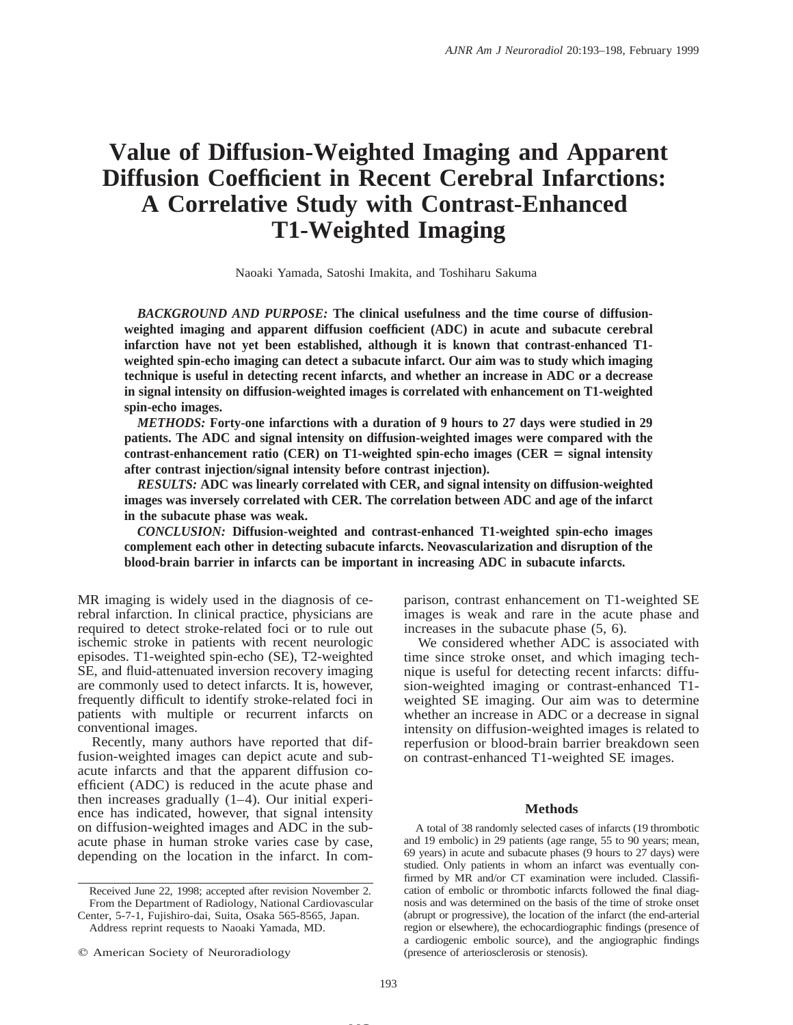# **Value of Diffusion-Weighted Imaging and Apparent Diffusion Coefficient in Recent Cerebral Infarctions: A Correlative Study with Contrast-Enhanced T1-Weighted Imaging**

Naoaki Yamada, Satoshi Imakita, and Toshiharu Sakuma

*BACKGROUND AND PURPOSE:* **The clinical usefulness and the time course of diffusionweighted imaging and apparent diffusion coefficient (ADC) in acute and subacute cerebral infarction have not yet been established, although it is known that contrast-enhanced T1 weighted spin-echo imaging can detect a subacute infarct. Our aim was to study which imaging technique is useful in detecting recent infarcts, and whether an increase in ADC or a decrease in signal intensity on diffusion-weighted images is correlated with enhancement on T1-weighted spin-echo images.**

*METHODS:* **Forty-one infarctions with a duration of 9 hours to 27 days were studied in 29 patients. The ADC and signal intensity on diffusion-weighted images were compared with the** contrast-enhancement ratio (CER) on T1-weighted spin-echo images (CER  $=$  signal intensity **after contrast injection/signal intensity before contrast injection).**

*RESULTS:* **ADC was linearly correlated with CER, and signal intensity on diffusion-weighted images was inversely correlated with CER. The correlation between ADC and age of the infarct in the subacute phase was weak.**

*CONCLUSION:* **Diffusion-weighted and contrast-enhanced T1-weighted spin-echo images complement each other in detecting subacute infarcts. Neovascularization and disruption of the blood-brain barrier in infarcts can be important in increasing ADC in subacute infarcts.**

MR imaging is widely used in the diagnosis of cerebral infarction. In clinical practice, physicians are required to detect stroke-related foci or to rule out ischemic stroke in patients with recent neurologic episodes. T1-weighted spin-echo (SE), T2-weighted SE, and fluid-attenuated inversion recovery imaging are commonly used to detect infarcts. It is, however, frequently difficult to identify stroke-related foci in patients with multiple or recurrent infarcts on conventional images.

Recently, many authors have reported that diffusion-weighted images can depict acute and subacute infarcts and that the apparent diffusion coefficient (ADC) is reduced in the acute phase and then increases gradually (1–4). Our initial experience has indicated, however, that signal intensity on diffusion-weighted images and ADC in the subacute phase in human stroke varies case by case, depending on the location in the infarct. In com-

Address reprint requests to Naoaki Yamada, MD.

parison, contrast enhancement on T1-weighted SE images is weak and rare in the acute phase and increases in the subacute phase (5, 6).

We considered whether ADC is associated with time since stroke onset, and which imaging technique is useful for detecting recent infarcts: diffusion-weighted imaging or contrast-enhanced T1 weighted SE imaging. Our aim was to determine whether an increase in ADC or a decrease in signal intensity on diffusion-weighted images is related to reperfusion or blood-brain barrier breakdown seen on contrast-enhanced T1-weighted SE images.

### **Methods**

A total of 38 randomly selected cases of infarcts (19 thrombotic and 19 embolic) in 29 patients (age range, 55 to 90 years; mean, 69 years) in acute and subacute phases (9 hours to 27 days) were studied. Only patients in whom an infarct was eventually confirmed by MR and/or CT examination were included. Classification of embolic or thrombotic infarcts followed the final diagnosis and was determined on the basis of the time of stroke onset (abrupt or progressive), the location of the infarct (the end-arterial region or elsewhere), the echocardiographic findings (presence of a cardiogenic embolic source), and the angiographic findings (presence of arteriosclerosis or stenosis).

**MS**

Received June 22, 1998; accepted after revision November 2. From the Department of Radiology, National Cardiovascular Center, 5-7-1, Fujishiro-dai, Suita, Osaka 565-8565, Japan.

 $©$  American Society of Neuroradiology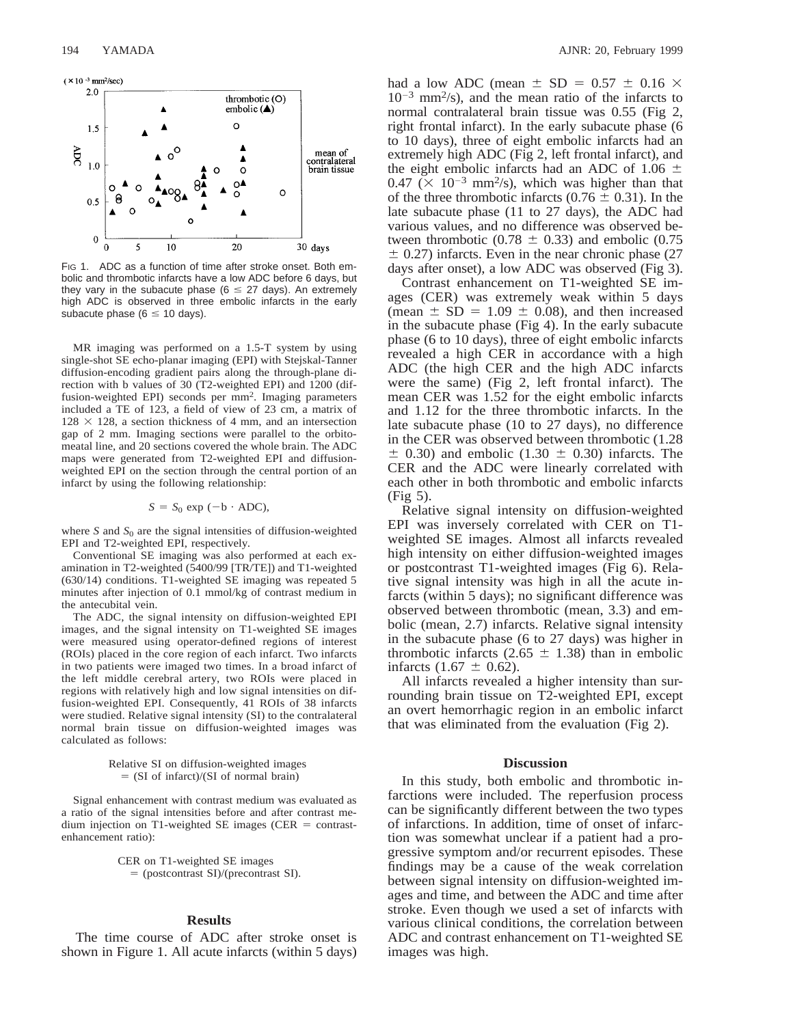

FIG 1. ADC as a function of time after stroke onset. Both embolic and thrombotic infarcts have a low ADC before 6 days, but they vary in the subacute phase ( $6 \le 27$  days). An extremely high ADC is observed in three embolic infarcts in the early subacute phase ( $6 \le 10$  days).

MR imaging was performed on a 1.5-T system by using single-shot SE echo-planar imaging (EPI) with Stejskal-Tanner diffusion-encoding gradient pairs along the through-plane direction with b values of 30 (T2-weighted EPI) and 1200 (diffusion-weighted EPI) seconds per mm2. Imaging parameters included a TE of 123, a field of view of 23 cm, a matrix of  $128 \times 128$ , a section thickness of 4 mm, and an intersection gap of 2 mm. Imaging sections were parallel to the orbitomeatal line, and 20 sections covered the whole brain. The ADC maps were generated from T2-weighted EPI and diffusionweighted EPI on the section through the central portion of an infarct by using the following relationship:

$$
S = S_0 \exp(-b \cdot ADC),
$$

where  $S$  and  $S_0$  are the signal intensities of diffusion-weighted EPI and T2-weighted EPI, respectively.

Conventional SE imaging was also performed at each examination in T2-weighted (5400/99 [TR/TE]) and T1-weighted (630/14) conditions. T1-weighted SE imaging was repeated 5 minutes after injection of 0.1 mmol/kg of contrast medium in the antecubital vein.

The ADC, the signal intensity on diffusion-weighted EPI images, and the signal intensity on T1-weighted SE images were measured using operator-defined regions of interest (ROIs) placed in the core region of each infarct. Two infarcts in two patients were imaged two times. In a broad infarct of the left middle cerebral artery, two ROIs were placed in regions with relatively high and low signal intensities on diffusion-weighted EPI. Consequently, 41 ROIs of 38 infarcts were studied. Relative signal intensity (SI) to the contralateral normal brain tissue on diffusion-weighted images was calculated as follows:

> Relative SI on diffusion-weighted images  $=$  (SI of infarct)/(SI of normal brain)

Signal enhancement with contrast medium was evaluated as a ratio of the signal intensities before and after contrast medium injection on T1-weighted SE images (CER  $=$  contrastenhancement ratio):

> CER on T1-weighted SE images 5 (postcontrast SI)/(precontrast SI).

## **Results**

The time course of ADC after stroke onset is shown in Figure 1. All acute infarcts (within 5 days) had a low ADC (mean  $\pm$  SD = 0.57  $\pm$  0.16  $\times$  $10^{-3}$  mm<sup>2</sup>/s), and the mean ratio of the infarcts to normal contralateral brain tissue was 0.55 (Fig 2, right frontal infarct). In the early subacute phase (6 to 10 days), three of eight embolic infarcts had an extremely high ADC (Fig 2, left frontal infarct), and the eight embolic infarcts had an ADC of 1.06  $\pm$  $0.47 \times 10^{-3}$  mm<sup>2</sup>/s), which was higher than that of the three thrombotic infarcts ( $0.76 \pm 0.31$ ). In the late subacute phase (11 to 27 days), the ADC had various values, and no difference was observed between thrombotic (0.78  $\pm$  0.33) and embolic (0.75  $\pm$  0.27) infarcts. Even in the near chronic phase (27 days after onset), a low ADC was observed (Fig 3).

Contrast enhancement on T1-weighted SE images (CER) was extremely weak within 5 days (mean  $\pm$  SD = 1.09  $\pm$  0.08), and then increased in the subacute phase (Fig 4). In the early subacute phase (6 to 10 days), three of eight embolic infarcts revealed a high CER in accordance with a high ADC (the high CER and the high ADC infarcts were the same) (Fig 2, left frontal infarct). The mean CER was 1.52 for the eight embolic infarcts and 1.12 for the three thrombotic infarcts. In the late subacute phase (10 to 27 days), no difference in the CER was observed between thrombotic (1.28  $\pm$  0.30) and embolic (1.30  $\pm$  0.30) infarcts. The CER and the ADC were linearly correlated with each other in both thrombotic and embolic infarcts (Fig 5).

Relative signal intensity on diffusion-weighted EPI was inversely correlated with CER on T1 weighted SE images. Almost all infarcts revealed high intensity on either diffusion-weighted images or postcontrast T1-weighted images (Fig 6). Relative signal intensity was high in all the acute infarcts (within 5 days); no significant difference was observed between thrombotic (mean, 3.3) and embolic (mean, 2.7) infarcts. Relative signal intensity in the subacute phase (6 to 27 days) was higher in thrombotic infarcts (2.65  $\pm$  1.38) than in embolic infarcts  $(1.67 \pm 0.62)$ .

All infarcts revealed a higher intensity than surrounding brain tissue on T2-weighted EPI, except an overt hemorrhagic region in an embolic infarct that was eliminated from the evaluation (Fig 2).

### **Discussion**

In this study, both embolic and thrombotic infarctions were included. The reperfusion process can be significantly different between the two types of infarctions. In addition, time of onset of infarction was somewhat unclear if a patient had a progressive symptom and/or recurrent episodes. These findings may be a cause of the weak correlation between signal intensity on diffusion-weighted images and time, and between the ADC and time after stroke. Even though we used a set of infarcts with various clinical conditions, the correlation between ADC and contrast enhancement on T1-weighted SE images was high.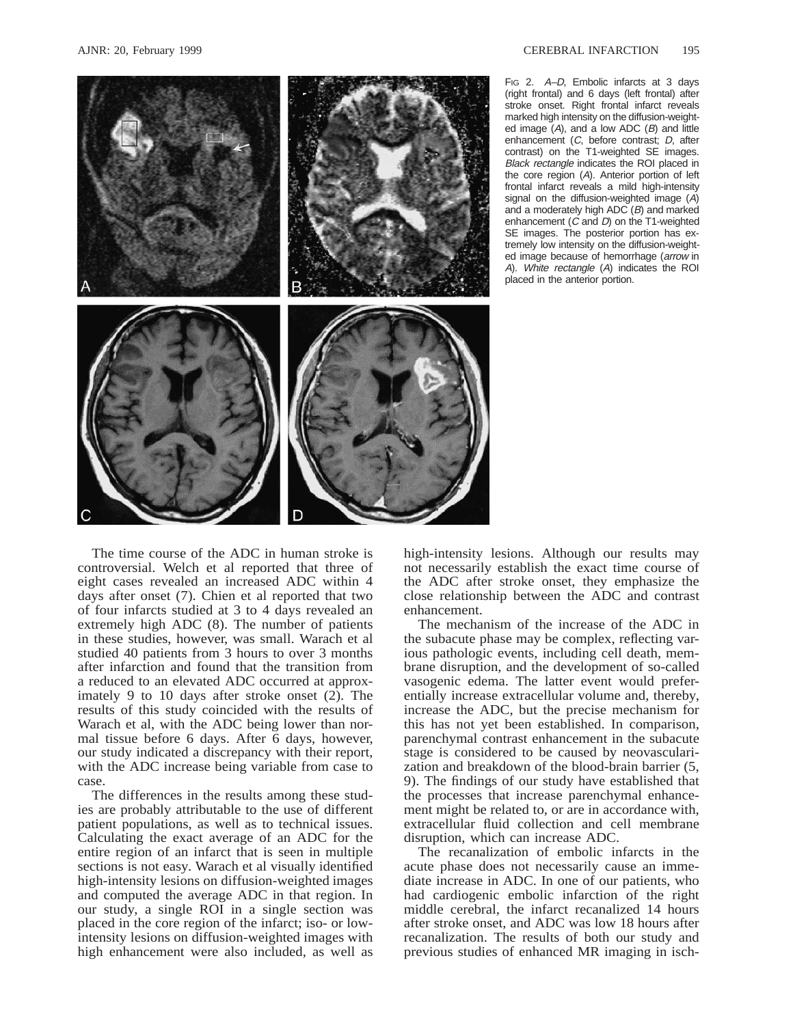

FIG 2. A–D, Embolic infarcts at 3 days (right frontal) and 6 days (left frontal) after stroke onset. Right frontal infarct reveals marked high intensity on the diffusion-weighted image  $(A)$ , and a low ADC  $(B)$  and little enhancement (C, before contrast; D, after contrast) on the T1-weighted SE images. Black rectangle indicates the ROI placed in the core region (A). Anterior portion of left frontal infarct reveals a mild high-intensity signal on the diffusion-weighted image  $(A)$ and a moderately high ADC (B) and marked enhancement  $(C \text{ and } D)$  on the T1-weighted SE images. The posterior portion has extremely low intensity on the diffusion-weighted image because of hemorrhage (arrow in <sup>A</sup>). White rectangle (A) indicates the ROI placed in the anterior portion.

The time course of the ADC in human stroke is controversial. Welch et al reported that three of eight cases revealed an increased ADC within 4 days after onset (7). Chien et al reported that two of four infarcts studied at 3 to 4 days revealed an extremely high ADC (8). The number of patients in these studies, however, was small. Warach et al studied 40 patients from 3 hours to over 3 months after infarction and found that the transition from a reduced to an elevated ADC occurred at approximately 9 to 10 days after stroke onset (2). The results of this study coincided with the results of Warach et al, with the ADC being lower than normal tissue before 6 days. After 6 days, however, our study indicated a discrepancy with their report, with the ADC increase being variable from case to case.

The differences in the results among these studies are probably attributable to the use of different patient populations, as well as to technical issues. Calculating the exact average of an ADC for the entire region of an infarct that is seen in multiple sections is not easy. Warach et al visually identified high-intensity lesions on diffusion-weighted images and computed the average ADC in that region. In our study, a single ROI in a single section was placed in the core region of the infarct; iso- or lowintensity lesions on diffusion-weighted images with high enhancement were also included, as well as high-intensity lesions. Although our results may not necessarily establish the exact time course of the ADC after stroke onset, they emphasize the close relationship between the ADC and contrast enhancement.

The mechanism of the increase of the ADC in the subacute phase may be complex, reflecting various pathologic events, including cell death, membrane disruption, and the development of so-called vasogenic edema. The latter event would preferentially increase extracellular volume and, thereby, increase the ADC, but the precise mechanism for this has not yet been established. In comparison, parenchymal contrast enhancement in the subacute stage is considered to be caused by neovascularization and breakdown of the blood-brain barrier (5, 9). The findings of our study have established that the processes that increase parenchymal enhancement might be related to, or are in accordance with, extracellular fluid collection and cell membrane disruption, which can increase ADC.

The recanalization of embolic infarcts in the acute phase does not necessarily cause an immediate increase in ADC. In one of our patients, who had cardiogenic embolic infarction of the right middle cerebral, the infarct recanalized 14 hours after stroke onset, and ADC was low 18 hours after recanalization. The results of both our study and previous studies of enhanced MR imaging in isch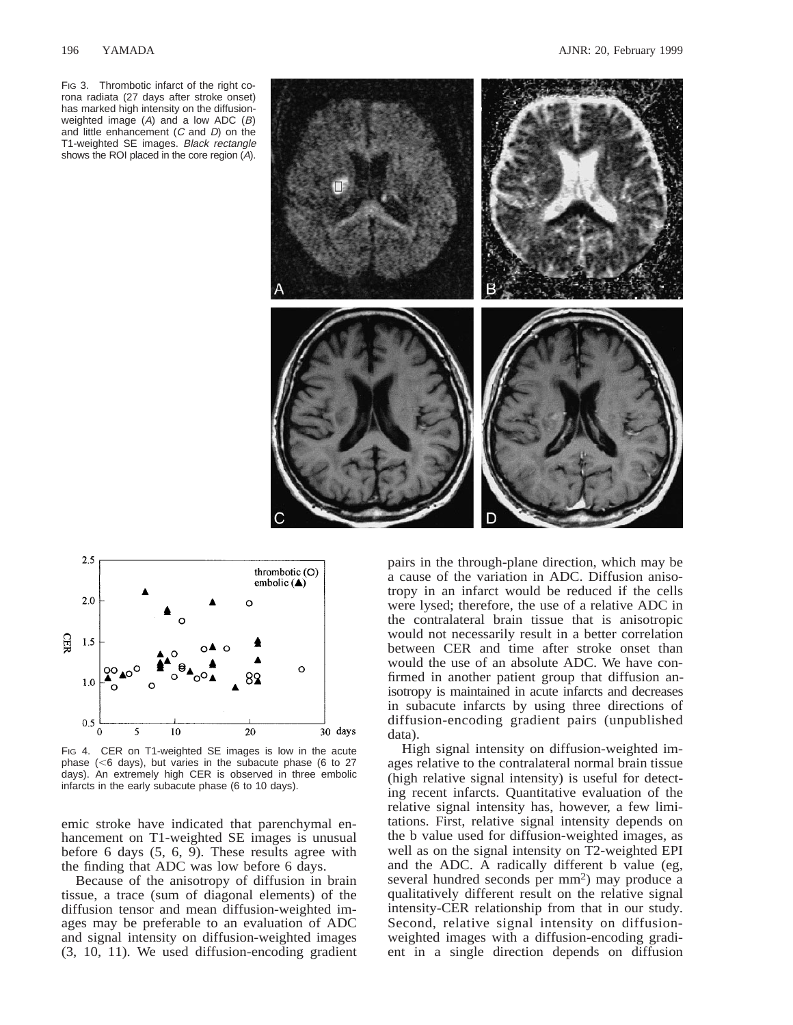FIG 3. Thrombotic infarct of the right corona radiata (27 days after stroke onset) has marked high intensity on the diffusionweighted image  $(A)$  and a low ADC  $(B)$ and little enhancement  $(C \text{ and } D)$  on the T1-weighted SE images. Black rectangle shows the ROI placed in the core region (A).





FIG 4. CER on T1-weighted SE images is low in the acute phase ( $<$ 6 days), but varies in the subacute phase (6 to 27 days). An extremely high CER is observed in three embolic infarcts in the early subacute phase (6 to 10 days).

emic stroke have indicated that parenchymal enhancement on T1-weighted SE images is unusual before 6 days (5, 6, 9). These results agree with the finding that ADC was low before 6 days.

Because of the anisotropy of diffusion in brain tissue, a trace (sum of diagonal elements) of the diffusion tensor and mean diffusion-weighted images may be preferable to an evaluation of ADC and signal intensity on diffusion-weighted images (3, 10, 11). We used diffusion-encoding gradient

pairs in the through-plane direction, which may be a cause of the variation in ADC. Diffusion anisotropy in an infarct would be reduced if the cells were lysed; therefore, the use of a relative ADC in the contralateral brain tissue that is anisotropic would not necessarily result in a better correlation between CER and time after stroke onset than would the use of an absolute ADC. We have confirmed in another patient group that diffusion anisotropy is maintained in acute infarcts and decreases in subacute infarcts by using three directions of diffusion-encoding gradient pairs (unpublished data).

High signal intensity on diffusion-weighted images relative to the contralateral normal brain tissue (high relative signal intensity) is useful for detecting recent infarcts. Quantitative evaluation of the relative signal intensity has, however, a few limitations. First, relative signal intensity depends on the b value used for diffusion-weighted images, as well as on the signal intensity on T2-weighted EPI and the ADC. A radically different b value (eg, several hundred seconds per mm2) may produce a qualitatively different result on the relative signal intensity-CER relationship from that in our study. Second, relative signal intensity on diffusionweighted images with a diffusion-encoding gradient in a single direction depends on diffusion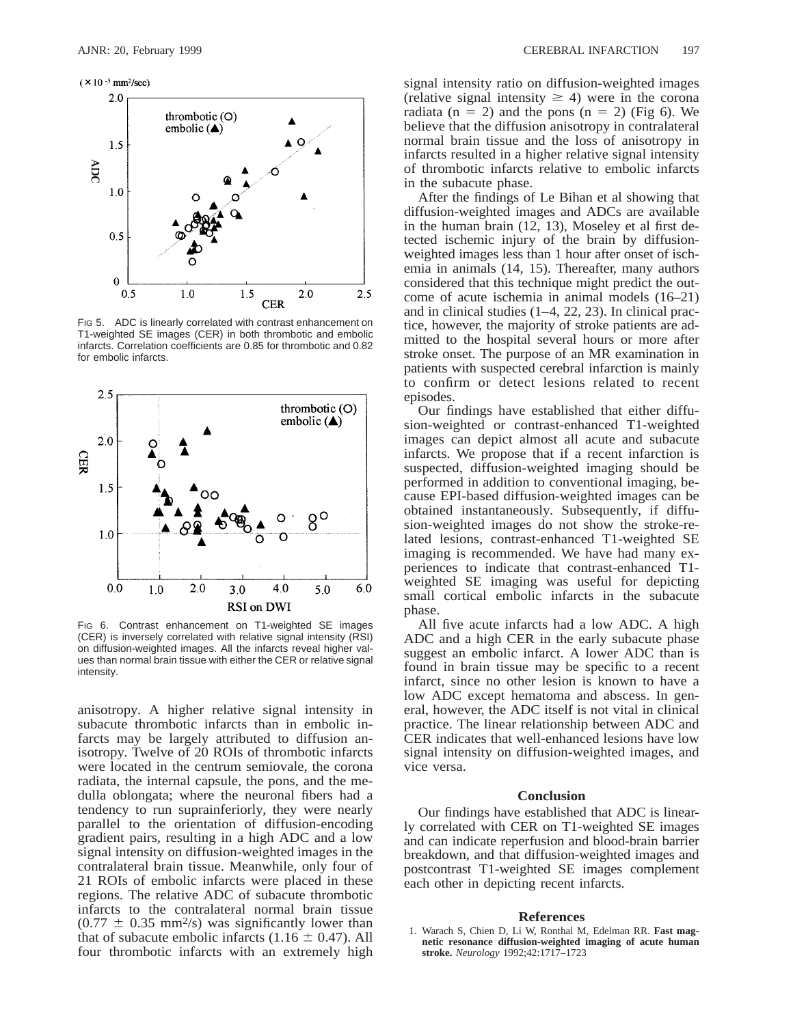

FIG 5. ADC is linearly correlated with contrast enhancement on T1-weighted SE images (CER) in both thrombotic and embolic infarcts. Correlation coefficients are 0.85 for thrombotic and 0.82 for embolic infarcts.



FIG 6. Contrast enhancement on T1-weighted SE images (CER) is inversely correlated with relative signal intensity (RSI) on diffusion-weighted images. All the infarcts reveal higher values than normal brain tissue with either the CER or relative signal intensity.

anisotropy. A higher relative signal intensity in subacute thrombotic infarcts than in embolic infarcts may be largely attributed to diffusion anisotropy. Twelve of 20 ROIs of thrombotic infarcts were located in the centrum semiovale, the corona radiata, the internal capsule, the pons, and the medulla oblongata; where the neuronal fibers had a tendency to run suprainferiorly, they were nearly parallel to the orientation of diffusion-encoding gradient pairs, resulting in a high ADC and a low signal intensity on diffusion-weighted images in the contralateral brain tissue. Meanwhile, only four of 21 ROIs of embolic infarcts were placed in these regions. The relative ADC of subacute thrombotic infarcts to the contralateral normal brain tissue  $(0.77 \pm 0.35 \text{ mm}^2/\text{s})$  was significantly lower than that of subacute embolic infarcts  $(1.16 \pm 0.47)$ . All four thrombotic infarcts with an extremely high

signal intensity ratio on diffusion-weighted images (relative signal intensity  $\geq$  4) were in the corona radiata (n = 2) and the pons (n = 2) (Fig 6). We believe that the diffusion anisotropy in contralateral normal brain tissue and the loss of anisotropy in infarcts resulted in a higher relative signal intensity of thrombotic infarcts relative to embolic infarcts in the subacute phase.

After the findings of Le Bihan et al showing that diffusion-weighted images and ADCs are available in the human brain (12, 13), Moseley et al first detected ischemic injury of the brain by diffusionweighted images less than 1 hour after onset of ischemia in animals (14, 15). Thereafter, many authors considered that this technique might predict the outcome of acute ischemia in animal models (16–21) and in clinical studies (1–4, 22, 23). In clinical practice, however, the majority of stroke patients are admitted to the hospital several hours or more after stroke onset. The purpose of an MR examination in patients with suspected cerebral infarction is mainly to confirm or detect lesions related to recent episodes.

Our findings have established that either diffusion-weighted or contrast-enhanced T1-weighted images can depict almost all acute and subacute infarcts. We propose that if a recent infarction is suspected, diffusion-weighted imaging should be performed in addition to conventional imaging, because EPI-based diffusion-weighted images can be obtained instantaneously. Subsequently, if diffusion-weighted images do not show the stroke-related lesions, contrast-enhanced T1-weighted SE imaging is recommended. We have had many experiences to indicate that contrast-enhanced T1 weighted SE imaging was useful for depicting small cortical embolic infarcts in the subacute phase.

All five acute infarcts had a low ADC. A high ADC and a high CER in the early subacute phase suggest an embolic infarct. A lower ADC than is found in brain tissue may be specific to a recent infarct, since no other lesion is known to have a low ADC except hematoma and abscess. In general, however, the ADC itself is not vital in clinical practice. The linear relationship between ADC and CER indicates that well-enhanced lesions have low signal intensity on diffusion-weighted images, and vice versa.

#### **Conclusion**

Our findings have established that ADC is linearly correlated with CER on T1-weighted SE images and can indicate reperfusion and blood-brain barrier breakdown, and that diffusion-weighted images and postcontrast T1-weighted SE images complement each other in depicting recent infarcts.

#### **References**

1. Warach S, Chien D, Li W, Ronthal M, Edelman RR. **Fast magnetic resonance diffusion-weighted imaging of acute human stroke.** *Neurology* 1992;42:1717–1723